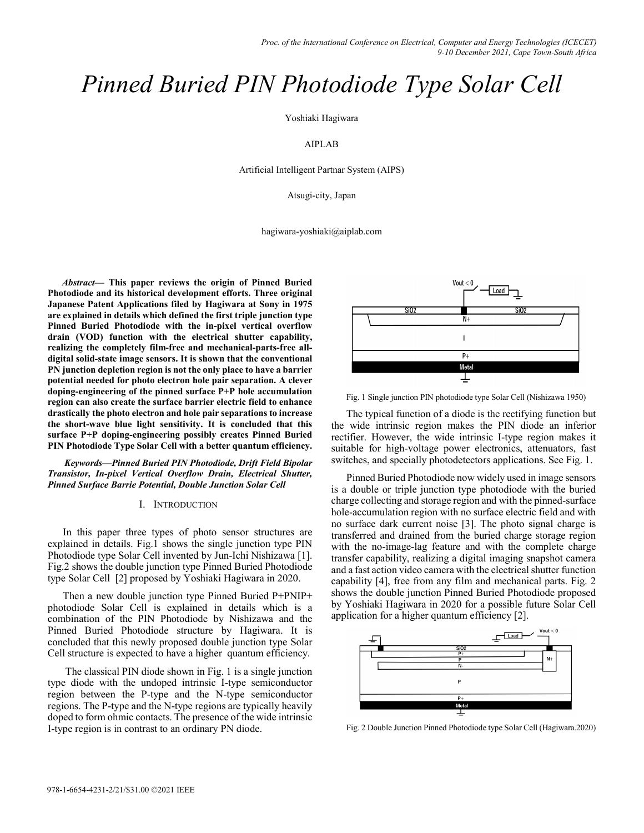# *Pinned Buried PIN Photodiode Type Solar Cell*

Yoshiaki Hagiwara

## AIPLAB

Artificial Intelligent Partnar System (AIPS)

Atsugi-city, Japan

hagiwara-yoshiaki@aiplab.com

*Abstract—* **This paper reviews the origin of Pinned Buried Photodiode and its historical development efforts. Three original Japanese Patent Applications filed by Hagiwara at Sony in 1975 are explained in details which defined the first triple junction type Pinned Buried Photodiode with the in-pixel vertical overflow drain (VOD) function with the electrical shutter capability, realizing the completely film-free and mechanical-parts-free alldigital solid-state image sensors. It is shown that the conventional PN junction depletion region is not the only place to have a barrier potential needed for photo electron hole pair separation. A clever doping-engineering of the pinned surface P+P hole accumulation region can also create the surface barrier electric field to enhance drastically the photo electron and hole pair separations to increase the short-wave blue light sensitivity. It is concluded that this surface P+P doping-engineering possibly creates Pinned Buried PIN Photodiode Type Solar Cell with a better quantum efficiency.** 

 *Keywords—Pinned Buried PIN Photodiode, Drift Field Bipolar Transistor, In-pixel Vertical Overflow Drain, Electrical Shutter, Pinned Surface Barrie Potential, Double Junction Solar Cell* 

#### I. INTRODUCTION

In this paper three types of photo sensor structures are explained in details. Fig.1 shows the single junction type PIN Photodiode type Solar Cell invented by Jun-Ichi Nishizawa [1]. Fig.2 shows the double junction type Pinned Buried Photodiode type Solar Cell [2] proposed by Yoshiaki Hagiwara in 2020.

Then a new double junction type Pinned Buried P+PNIP+ photodiode Solar Cell is explained in details which is a combination of the PIN Photodiode by Nishizawa and the Pinned Buried Photodiode structure by Hagiwara. It is concluded that this newly proposed double junction type Solar Cell structure is expected to have a higher quantum efficiency.

 The classical PIN diode shown in Fig. 1 is a single junction type diode with the undoped intrinsic I-type semiconductor region between the P-type and the N-type semiconductor regions. The P-type and the N-type regions are typically heavily doped to form ohmic contacts. The presence of the wide intrinsic I-type region is in contrast to an ordinary PN diode.



Fig. 1 Single junction PIN photodiode type Solar Cell (Nishizawa 1950)

The typical function of a diode is the rectifying function but the wide intrinsic region makes the PIN diode an inferior rectifier. However, the wide intrinsic I-type region makes it suitable for high-voltage power electronics, attenuators, fast switches, and specially photodetectors applications. See Fig. 1.

Pinned Buried Photodiode now widely used in image sensors is a double or triple junction type photodiode with the buried charge collecting and storage region and with the pinned-surface hole-accumulation region with no surface electric field and with no surface dark current noise [3]. The photo signal charge is transferred and drained from the buried charge storage region with the no-image-lag feature and with the complete charge transfer capability, realizing a digital imaging snapshot camera and a fast action video camera with the electrical shutter function capability [4], free from any film and mechanical parts. Fig. 2 shows the double junction Pinned Buried Photodiode proposed by Yoshiaki Hagiwara in 2020 for a possible future Solar Cell application for a higher quantum efficiency [2].



Fig. 2 Double Junction Pinned Photodiode type Solar Cell (Hagiwara.2020)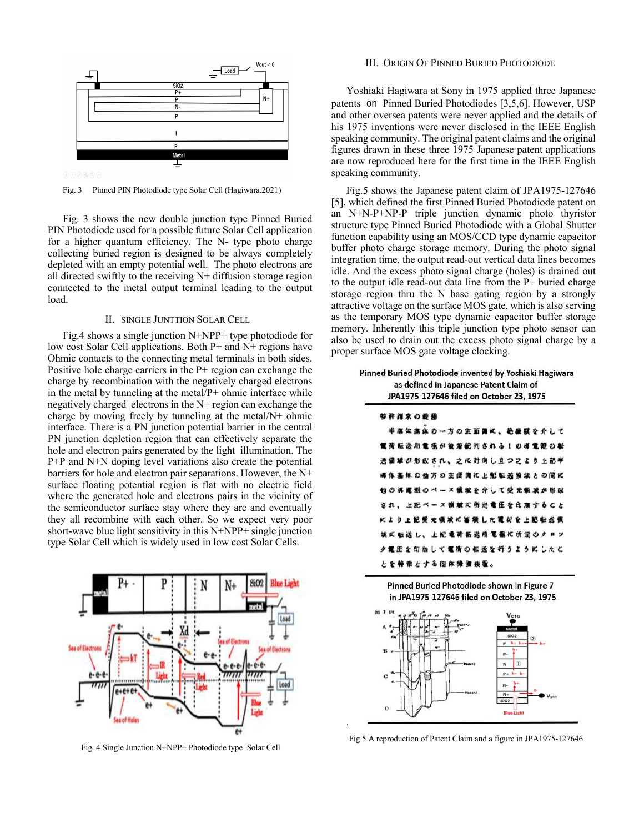

Fig. 3 Pinned PIN Photodiode type Solar Cell (Hagiwara.2021)

Fig. 3 shows the new double junction type Pinned Buried PIN Photodiode used for a possible future Solar Cell application for a higher quantum efficiency. The N- type photo charge collecting buried region is designed to be always completely depleted with an empty potential well. The photo electrons are all directed swiftly to the receiving  $N<sup>+</sup>$  diffusion storage region connected to the metal output terminal leading to the output load.

## II. SINGLE JUNTTION SOLAR CELL

Fig.4 shows a single junction N+NPP+ type photodiode for low cost Solar Cell applications. Both P+ and N+ regions have Ohmic contacts to the connecting metal terminals in both sides. Positive hole charge carriers in the P+ region can exchange the charge by recombination with the negatively charged electrons in the metal by tunneling at the metal/P+ ohmic interface while negatively charged electrons in the N+ region can exchange the charge by moving freely by tunneling at the metal/N+ ohmic interface. There is a PN junction potential barrier in the central PN junction depletion region that can effectively separate the hole and electron pairs generated by the light illumination. The P+P and N+N doping level variations also create the potential barriers for hole and electron pair separations. However, the N+ surface floating potential region is flat with no electric field where the generated hole and electrons pairs in the vicinity of the semiconductor surface stay where they are and eventually they all recombine with each other. So we expect very poor short-wave blue light sensitivity in this N+NPP+ single junction type Solar Cell which is widely used in low cost Solar Cells.



Fig. 4 Single Junction N+NPP+ Photodiode type Solar Cell

#### III. ORIGIN OF PINNED BURIED PHOTODIODE

Yoshiaki Hagiwara at Sony in 1975 applied three Japanese patents on Pinned Buried Photodiodes [3,5,6]. However, USP and other oversea patents were never applied and the details of his 1975 inventions were never disclosed in the IEEE English speaking community. The original patent claims and the original figures drawn in these three 1975 Japanese patent applications are now reproduced here for the first time in the IEEE English speaking community.

Fig.5 shows the Japanese patent claim of JPA1975-127646 [5], which defined the first Pinned Buried Photodiode patent on an N+N-P+NP-P triple junction dynamic photo thyristor structure type Pinned Buried Photodiode with a Global Shutter function capability using an MOS/CCD type dynamic capacitor buffer photo charge storage memory. During the photo signal integration time, the output read-out vertical data lines becomes idle. And the excess photo signal charge (holes) is drained out to the output idle read-out data line from the P+ buried charge storage region thru the N base gating region by a strongly attractive voltage on the surface MOS gate, which is also serving as the temporary MOS type dynamic capacitor buffer storage memory. Inherently this triple junction type photo sensor can also be used to drain out the excess photo signal charge by a proper surface MOS gate voltage clocking.

|                        | JPA1975-127646 filed on October 23, 1975                                                  |  |  |  |  |                           |  |  |  |
|------------------------|-------------------------------------------------------------------------------------------|--|--|--|--|---------------------------|--|--|--|
| 卒許消求の範囲                |                                                                                           |  |  |  |  |                           |  |  |  |
|                        | 半海体基体の一方の主面側に、絶縁膜を介して                                                                     |  |  |  |  |                           |  |  |  |
| 電荷転送用電極が被着配列される1の導電源の転 |                                                                                           |  |  |  |  |                           |  |  |  |
| 送備球が形成され、之に対向し且つ之より上記半 |                                                                                           |  |  |  |  |                           |  |  |  |
| 導体基体の他方の主衛胸に上記転送領線との間に |                                                                                           |  |  |  |  |                           |  |  |  |
| 他の再運型のペース策域を介して受光颤波が形成 |                                                                                           |  |  |  |  |                           |  |  |  |
| され、上記ペース蝋被に所定電圧を印加すること |                                                                                           |  |  |  |  |                           |  |  |  |
| により上記受光領域に審構した電荷を上記転送費 |                                                                                           |  |  |  |  |                           |  |  |  |
| 城に転送し、上紀竜荷転送用電極に所定のクロツ |                                                                                           |  |  |  |  |                           |  |  |  |
| 夕置圧を印加して電荷の転送を行うようにしたと |                                                                                           |  |  |  |  |                           |  |  |  |
| とを特徴とする固体機像接重。         |                                                                                           |  |  |  |  |                           |  |  |  |
| 20 T 19 T              | Pinned Buried Photodiode shown in Figure 7<br>in JPA1975-127646 filed on October 23, 1975 |  |  |  |  | <b>V</b> <sub>CTG</sub>   |  |  |  |
| a *                    |                                                                                           |  |  |  |  | Metal<br>SiQ <sub>2</sub> |  |  |  |

Fig 5 A reproduction of Patent Claim and a figure in JPA1975-127646

.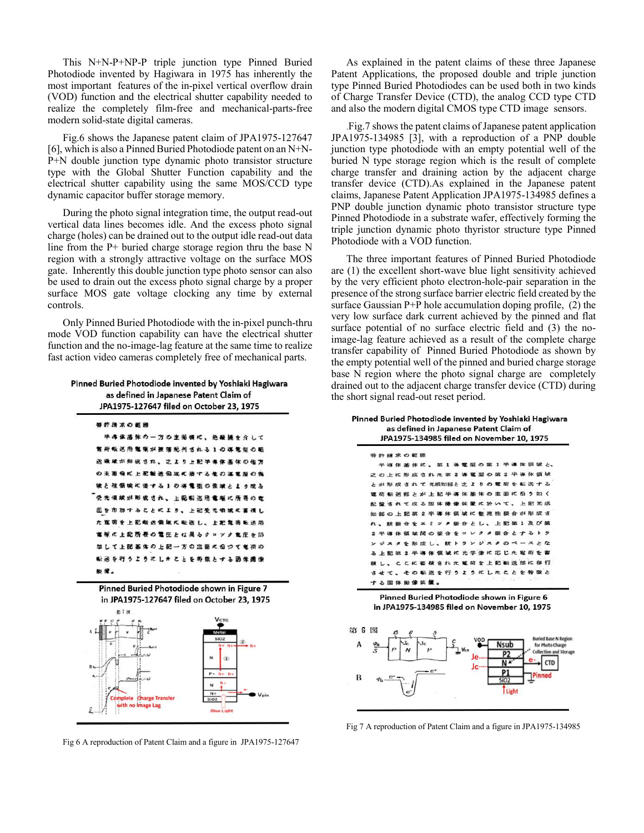This N+N-P+NP-P triple junction type Pinned Buried Photodiode invented by Hagiwara in 1975 has inherently the most important features of the in-pixel vertical overflow drain (VOD) function and the electrical shutter capability needed to realize the completely film-free and mechanical-parts-free modern solid-state digital cameras.

Fig.6 shows the Japanese patent claim of JPA1975-127647 [6], which is also a Pinned Buried Photodiode patent on an N+N-P+N double junction type dynamic photo transistor structure type with the Global Shutter Function capability and the electrical shutter capability using the same MOS/CCD type dynamic capacitor buffer storage memory.

During the photo signal integration time, the output read-out vertical data lines becomes idle. And the excess photo signal charge (holes) can be drained out to the output idle read-out data line from the P+ buried charge storage region thru the base N region with a strongly attractive voltage on the surface MOS gate. Inherently this double junction type photo sensor can also be used to drain out the excess photo signal charge by a proper surface MOS gate voltage clocking any time by external controls.

Only Pinned Buried Photodiode with the in-pixel punch-thru mode VOD function capability can have the electrical shutter function and the no-image-lag feature at the same time to realize fast action video cameras completely free of mechanical parts.

Pinned Buried Photodiode invented by Yoshiaki Hagiwara as defined in Japanese Patent Claim of JPA1975-127647 filed on October 23, 1975

| 特許清求の範囲 |     |  |  |  |                        |  |  |  |  |  |  |
|---------|-----|--|--|--|------------------------|--|--|--|--|--|--|
|         |     |  |  |  | 半海体基体の一方の主葡萄に、絶縁縄を介して  |  |  |  |  |  |  |
|         |     |  |  |  | 暫荷転送用電報が接落配列される1の導電型の転 |  |  |  |  |  |  |
|         |     |  |  |  | 送儀線が形成され、之より上記半導体基体の他方 |  |  |  |  |  |  |
|         |     |  |  |  | の主面強に上配転送偏端に接する他の基電型の傷 |  |  |  |  |  |  |
|         |     |  |  |  | 彼と複領破れ張する1の導電型の強減とより成る |  |  |  |  |  |  |
|         |     |  |  |  | 受光領域が形成され、上配転送用電極に所要の電 |  |  |  |  |  |  |
|         |     |  |  |  | 正を印加するととにより、上記受光明城に書信し |  |  |  |  |  |  |
|         |     |  |  |  | た崔荷を上記転送領域に転送し、上記亀荷転送用 |  |  |  |  |  |  |
|         |     |  |  |  | 電極に上記所要の電圧とは異るクロツク電圧を印 |  |  |  |  |  |  |
|         |     |  |  |  | 加して上記基体の上記一方の注意に合つて竜荷の |  |  |  |  |  |  |
|         |     |  |  |  | 転送を行うようにしきととを奔放とする函体撮像 |  |  |  |  |  |  |
|         | 節價。 |  |  |  |                        |  |  |  |  |  |  |



Fig 6 A reproduction of Patent Claim and a figure in JPA1975-127647

As explained in the patent claims of these three Japanese Patent Applications, the proposed double and triple junction type Pinned Buried Photodiodes can be used both in two kinds of Charge Transfer Device (CTD), the analog CCD type CTD and also the modern digital CMOS type CTD image sensors.

.Fig.7 shows the patent claims of Japanese patent application JPA1975-134985 [3], with a reproduction of a PNP double junction type photodiode with an empty potential well of the buried N type storage region which is the result of complete charge transfer and draining action by the adjacent charge transfer device (CTD).As explained in the Japanese patent claims, Japanese Patent Application JPA1975-134985 defines a PNP double junction dynamic photo transistor structure type Pinned Photodiode in a substrate wafer, effectively forming the triple junction dynamic photo thyristor structure type Pinned Photodiode with a VOD function.

The three important features of Pinned Buried Photodiode are (1) the excellent short-wave blue light sensitivity achieved by the very efficient photo electron-hole-pair separation in the presence of the strong surface barrier electric field created by the surface Gaussian P+P hole accumulation doping profile, (2) the very low surface dark current achieved by the pinned and flat surface potential of no surface electric field and (3) the noimage-lag feature achieved as a result of the complete charge transfer capability of Pinned Buried Photodiode as shown by the empty potential well of the pinned and buried charge storage base N region where the photo signal charge are completely drained out to the adjacent charge transfer device (CTD) during the short signal read-out reset period.

Pinned Buried Photodiode invented by Yoshiaki Hagiwara as defined in Japanese Patent Claim of JPA1975-134985 filed on November 10, 1975



Pinned Buried Photodiode shown in Figure 6 in JPA1975-134985 filed on November 10, 1975



Fig 7 A reproduction of Patent Claim and a figure in JPA1975-134985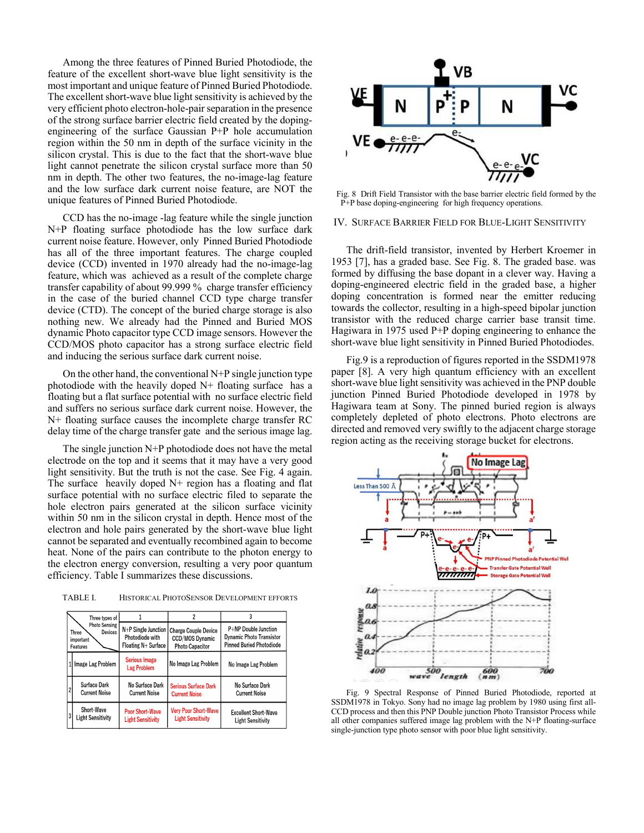Among the three features of Pinned Buried Photodiode, the feature of the excellent short-wave blue light sensitivity is the most important and unique feature of Pinned Buried Photodiode. The excellent short-wave blue light sensitivity is achieved by the very efficient photo electron-hole-pair separation in the presence of the strong surface barrier electric field created by the dopingengineering of the surface Gaussian P+P hole accumulation region within the 50 nm in depth of the surface vicinity in the silicon crystal. This is due to the fact that the short-wave blue light cannot penetrate the silicon crystal surface more than 50 nm in depth. The other two features, the no-image-lag feature and the low surface dark current noise feature, are NOT the unique features of Pinned Buried Photodiode.

CCD has the no-image -lag feature while the single junction N+P floating surface photodiode has the low surface dark current noise feature. However, only Pinned Buried Photodiode has all of the three important features. The charge coupled device (CCD) invented in 1970 already had the no-image-lag feature, which was achieved as a result of the complete charge transfer capability of about 99.999 % charge transfer efficiency in the case of the buried channel CCD type charge transfer device (CTD). The concept of the buried charge storage is also nothing new. We already had the Pinned and Buried MOS dynamic Photo capacitor type CCD image sensors. However the CCD/MOS photo capacitor has a strong surface electric field and inducing the serious surface dark current noise.

On the other hand, the conventional  $N+P$  single junction type photodiode with the heavily doped  $N+$  floating surface has a floating but a flat surface potential with no surface electric field and suffers no serious surface dark current noise. However, the N+ floating surface causes the incomplete charge transfer RC delay time of the charge transfer gate and the serious image lag.

The single junction N+P photodiode does not have the metal electrode on the top and it seems that it may have a very good light sensitivity. But the truth is not the case. See Fig. 4 again. The surface heavily doped  $N<sup>+</sup>$  region has a floating and flat surface potential with no surface electric filed to separate the hole electron pairs generated at the silicon surface vicinity within 50 nm in the silicon crystal in depth. Hence most of the electron and hole pairs generated by the short-wave blue light cannot be separated and eventually recombined again to become heat. None of the pairs can contribute to the photon energy to the electron energy conversion, resulting a very poor quantum efficiency. Table I summarizes these discussions.

TABLE I. HISTORICAL PHOTOSENSOR DEVELOPMENT EFFORTS

|   | Three types of                                                    |                                                                 |                                                                          | 3                                                                                          |  |  |  |
|---|-------------------------------------------------------------------|-----------------------------------------------------------------|--------------------------------------------------------------------------|--------------------------------------------------------------------------------------------|--|--|--|
|   | <b>Photo Sensing</b><br>Devices<br>Three<br>important<br>Features | $N+P$ Single Junction<br>Photodiode with<br>Floating N+ Surface | <b>Charge Couple Device</b><br>CCD/MOS Dynamic<br><b>Photo Capacitor</b> | P+NP Double Junction<br><b>Dynamic Photo Transistor</b><br><b>Pinned Buried Photodiode</b> |  |  |  |
|   | Image Lag Problem                                                 | <b>Serious Image</b><br><b>Lag Problem</b>                      | No Image Lag Problem                                                     | No Image Lag Problem                                                                       |  |  |  |
|   | Surface Dark<br><b>Current Noise</b>                              | No Surface Dark<br><b>Current Noise</b>                         | <b>Serious Surface Dark</b><br><b>Current Noise</b>                      | No Surface Dark<br><b>Current Noise</b>                                                    |  |  |  |
| 3 | Short-Wave<br><b>Light Sensitivity</b>                            | <b>Poor Short-Wave</b><br><b>Light Sensitivity</b>              | <b>Very Poor Short-Wave</b><br><b>Light Sensitivity</b>                  | <b>Excellent Short-Wave</b><br><b>Light Sensitivity</b>                                    |  |  |  |



Fig. 8 Drift Field Transistor with the base barrier electric field formed by the P+P base doping-engineering for high frequency operations.

#### IV. SURFACE BARRIER FIELD FOR BLUE-LIGHT SENSITIVITY

The drift-field transistor, invented by Herbert Kroemer in 1953 [7], has a graded base. See Fig. 8. The graded base. was formed by diffusing the base dopant in a clever way. Having a doping-engineered electric field in the graded base, a higher doping concentration is formed near the emitter reducing towards the collector, resulting in a high-speed bipolar junction transistor with the reduced charge carrier base transit time. Hagiwara in 1975 used P+P doping engineering to enhance the short-wave blue light sensitivity in Pinned Buried Photodiodes.

Fig.9 is a reproduction of figures reported in the SSDM1978 paper [8]. A very high quantum efficiency with an excellent short-wave blue light sensitivity was achieved in the PNP double junction Pinned Buried Photodiode developed in 1978 by Hagiwara team at Sony. The pinned buried region is always completely depleted of photo electrons. Photo electrons are directed and removed very swiftly to the adjacent charge storage region acting as the receiving storage bucket for electrons.



Fig. 9 Spectral Response of Pinned Buried Photodiode, reported at SSDM1978 in Tokyo. Sony had no image lag problem by 1980 using first all-CCD process and then this PNP Double junction Photo Transistor Process while all other companies suffered image lag problem with the N+P floating-surface single-junction type photo sensor with poor blue light sensitivity.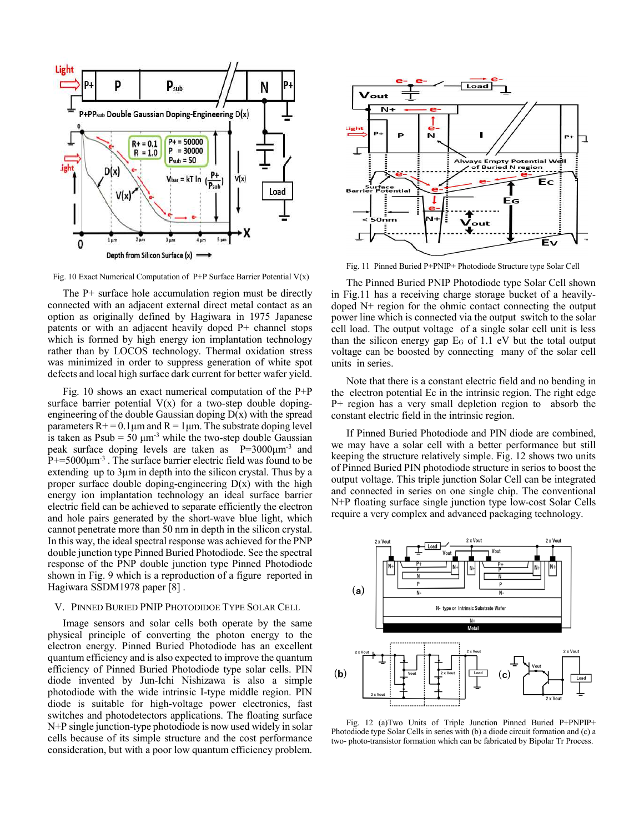

Fig. 10 Exact Numerical Computation of P+P Surface Barrier Potential V(x)

The P+ surface hole accumulation region must be directly connected with an adjacent external direct metal contact as an option as originally defined by Hagiwara in 1975 Japanese patents or with an adjacent heavily doped P+ channel stops which is formed by high energy ion implantation technology rather than by LOCOS technology. Thermal oxidation stress was minimized in order to suppress generation of white spot defects and local high surface dark current for better wafer yield.

Fig. 10 shows an exact numerical computation of the P+P surface barrier potential  $V(x)$  for a two-step double dopingengineering of the double Gaussian doping  $D(x)$  with the spread parameters  $R<sup>+</sup> = 0.1 \mu m$  and  $R = 1 \mu m$ . The substrate doping level is taken as  $Psub = 50 \mu m^{-3}$  while the two-step double Gaussian peak surface doping levels are taken as P=3000μm-3 and  $P$ +=5000 $\mu$ m<sup>-3</sup>. The surface barrier electric field was found to be extending up to 3μm in depth into the silicon crystal. Thus by a proper surface double doping-engineering  $D(x)$  with the high energy ion implantation technology an ideal surface barrier electric field can be achieved to separate efficiently the electron and hole pairs generated by the short-wave blue light, which cannot penetrate more than 50 nm in depth in the silicon crystal. In this way, the ideal spectral response was achieved for the PNP double junction type Pinned Buried Photodiode. See the spectral response of the PNP double junction type Pinned Photodiode shown in Fig. 9 which is a reproduction of a figure reported in Hagiwara SSDM1978 paper [8] .

#### V. PINNED BURIED PNIP PHOTODIDOE TYPE SOLAR CELL

Image sensors and solar cells both operate by the same physical principle of converting the photon energy to the electron energy. Pinned Buried Photodiode has an excellent quantum efficiency and is also expected to improve the quantum efficiency of Pinned Buried Photodiode type solar cells. PIN diode invented by Jun-Ichi Nishizawa is also a simple photodiode with the wide intrinsic I-type middle region. PIN diode is suitable for high-voltage power electronics, fast switches and photodetectors applications. The floating surface N+P single junction-type photodiode is now used widely in solar cells because of its simple structure and the cost performance consideration, but with a poor low quantum efficiency problem.



Fig. 11 Pinned Buried P+PNIP+ Photodiode Structure type Solar Cell

The Pinned Buried PNIP Photodiode type Solar Cell shown in Fig.11 has a receiving charge storage bucket of a heavilydoped N+ region for the ohmic contact connecting the output power line which is connected via the output switch to the solar cell load. The output voltage of a single solar cell unit is less than the silicon energy gap  $E_G$  of 1.1 eV but the total output voltage can be boosted by connecting many of the solar cell units in series.

Note that there is a constant electric field and no bending in the electron potential Ec in the intrinsic region. The right edge P+ region has a very small depletion region to absorb the constant electric field in the intrinsic region.

If Pinned Buried Photodiode and PIN diode are combined, we may have a solar cell with a better performance but still keeping the structure relatively simple. Fig. 12 shows two units of Pinned Buried PIN photodiode structure in serios to boost the output voltage. This triple junction Solar Cell can be integrated and connected in series on one single chip. The conventional N+P floating surface single junction type low-cost Solar Cells require a very complex and advanced packaging technology.



Fig. 12 (a)Two Units of Triple Junction Pinned Buried P+PNPIP+ Photodiode type Solar Cells in series with (b) a diode circuit formation and (c) a two- photo-transistor formation which can be fabricated by Bipolar Tr Process.